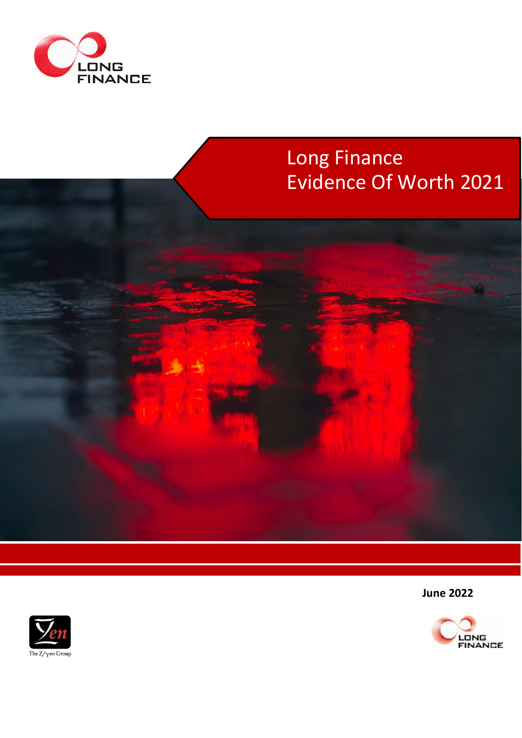



**June 2022**



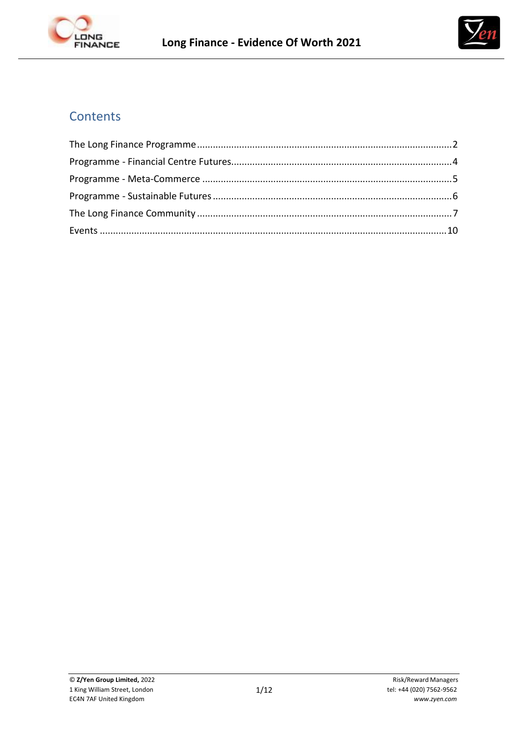



# **Contents**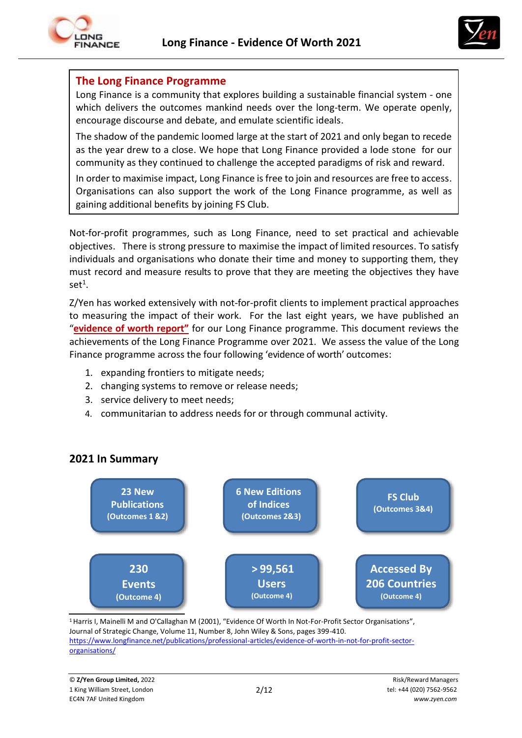

## **The Long Finance Programme**

Long Finance is a community that explores building a sustainable financial system - one which delivers the outcomes mankind needs over the long-term. We operate openly, encourage discourse and debate, and emulate scientific ideals.

The shadow of the pandemic loomed large at the start of 2021 and only began to recede as the year drew to a close. We hope that Long Finance provided a lode stone for our community as they continued to challenge the accepted paradigms of risk and reward.

In order to maximise impact, Long Finance is free to join and resources are free to access. Organisations can also support the work of the Long Finance programme, as well as gaining additional benefits by joining FS Club.

Not-for-profit programmes, such as Long Finance, need to set practical and achievable objectives. There is strong pressure to maximise the impact of limited resources. To satisfy individuals and organisations who donate their time and money to supporting them, they must record and measure results to prove that they are meeting the objectives they have  $set^1$ .

Z/Yen has worked extensively with not-for-profit clients to implement practical approaches to measuring the impact of their work. For the last eight years, we have published an "**[evidence](https://www.longfinance.net/about/evidence-worth/) of worth report"** for our Long Finance programme. This document reviews the achievements of the Long Finance Programme over 2021. We assess the value of the Long Finance programme across the four following 'evidence of worth' outcomes:

- 1. expanding frontiers to mitigate needs;
- 2. changing systems to remove or release needs;
- 3. service delivery to meet needs;
- 4. communitarian to address needs for or through communal activity.



# **2021 In Summary**

<sup>1</sup> Harris I, Mainelli M and O'Callaghan M (2001), "Evidence Of Worth In Not-For-Profit Sector Organisations", Journal of Strategic Change, Volume 11, Number 8, John Wiley & Sons, pages 399-410. [https://www.longfinance.net/publications/professional-articles/evidence-of-worth-in-not-for-profit-sector](https://www.longfinance.net/publications/professional-articles/evidence-of-worth-in-not-for-profit-sector-organisations/)[organisations/](https://www.longfinance.net/publications/professional-articles/evidence-of-worth-in-not-for-profit-sector-organisations/)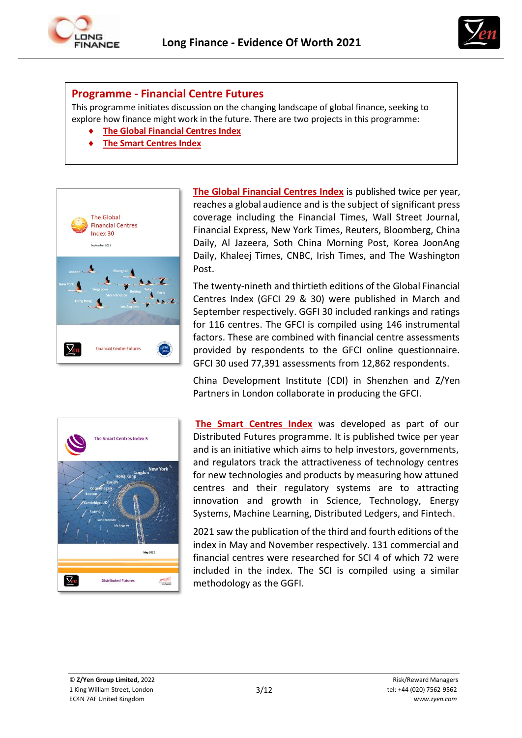



#### **Programme - Financial Centre Futures**

This programme initiates discussion on the changing landscape of global finance, seeking to explore how finance might work in the future. There are two projects in this programme:

- **[The Global Financial Centres Index](https://www.longfinance.net/programmes/financial-centre-futures/global-financial-centres-index/)**
- **[The Smart Centres Index](https://www.longfinance.net/programmes/financial-centre-futures/smart-centres-index/)**



**The Global [Financial](http://www.longfinance.net/programmes/financialcentrefutures/global-financial-centres-index/publications.html) Centres Index** is published twice per year, reaches a global audience and is the subject of significant press coverage including the Financial Times, Wall Street Journal, Financial Express, New York Times, Reuters, Bloomberg, China Daily, Al Jazeera, Soth China Morning Post, Korea JoonAng Daily, Khaleej Times, CNBC, Irish Times, and The Washington Post.

The twenty-nineth and thirtieth editions of the Global Financial Centres Index (GFCI 29 & 30) were published in March and September respectively. GGFI 30 included rankings and ratings for 116 centres. The GFCI is compiled using 146 instrumental factors. These are combined with financial centre assessments provided by respondents to the GFCI online questionnaire. GFCI 30 used 77,391 assessments from 12,862 respondents.

China Development Institute (CDI) in Shenzhen and Z/Yen Partners in London collaborate in producing the GFCI.



**[The Smart Centres Index](https://www.longfinance.net/programmes/financial-centre-futures/smart-centres-index/publications/)** was developed as part of our Distributed Futures programme. It is published twice per year and is an initiative which aims to help investors, governments, and regulators track the attractiveness of technology centres for new technologies and products by measuring how attuned centres and their regulatory systems are to attracting innovation and growth in Science, Technology, Energy Systems, Machine Learning, Distributed Ledgers, and Fintech.

2021 saw the publication of the third and fourth editions of the index in May and November respectively. 131 commercial and financial centres were researched for SCI 4 of which 72 were included in the index. The SCI is compiled using a similar methodology as the GGFI.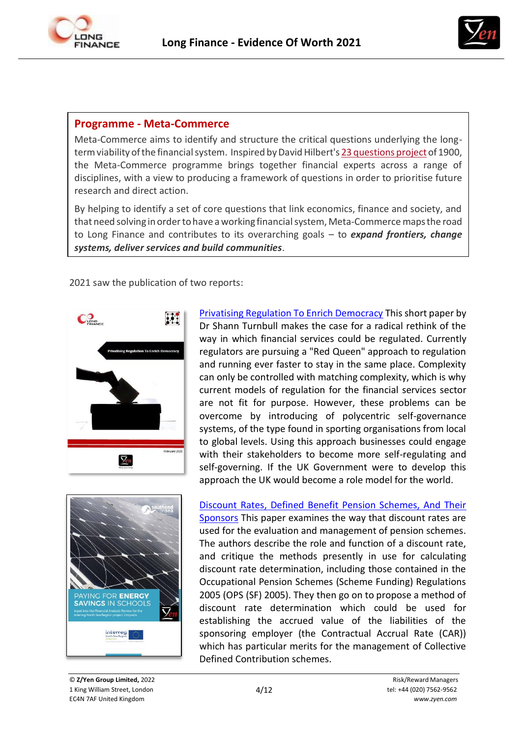



### **Programme - Meta-Commerce**

Meta-Commerce aims to identify and structure the critical questions underlying the longtermviability ofthe financialsystem. Inspired byDavid Hilbert's 23 [questions](http://en.wikipedia.org/wiki/Hilbert%27s_problems) project of 1900, the Meta-Commerce programme brings together financial experts across a range of disciplines, with a view to producing a framework of questions in order to prioritise future research and direct action.

By helping to identify a set of core questions that link economics, finance and society, and that need solving in order to have a working financial system, Meta-Commerce maps the road to Long Finance and contributes to its overarching goals – to *expand frontiers, change systems, deliver services and build communities*.

2021 saw the publication of two reports:



[Privatising Regulation To Enrich Democracy](https://www.longfinance.net/documents/2585/PrivatisingRegJan26_v1.3.pdf) This short paper by Dr Shann Turnbull makes the case for a radical rethink of the way in which financial services could be regulated. Currently regulators are pursuing a "Red Queen" approach to regulation and running ever faster to stay in the same place. Complexity can only be controlled with matching complexity, which is why current models of regulation for the financial services sector are not fit for purpose. However, these problems can be overcome by introducing of polycentric self-governance systems, of the type found in sporting organisations from local to global levels. Using this approach businesses could engage with their stakeholders to become more self-regulating and self-governing. If the UK Government were to develop this approach the UK would become a role model for the world.



Discount [Rates, Defined Benefit Pension Schemes, And Their](https://www.longfinance.net/documents/2605/Discount_rates_v1.3.pdf)  [Sponsors](https://www.longfinance.net/documents/2605/Discount_rates_v1.3.pdf) This paper examines the way that discount rates are used for the evaluation and management of pension schemes. The authors describe the role and function of a discount rate, and critique the methods presently in use for calculating discount rate determination, including those contained in the Occupational Pension Schemes (Scheme Funding) Regulations 2005 (OPS (SF) 2005). They then go on to propose a method of discount rate determination which could be used for establishing the accrued value of the liabilities of the sponsoring employer (the Contractual Accrual Rate (CAR)) which has particular merits for the management of Collective Defined Contribution schemes.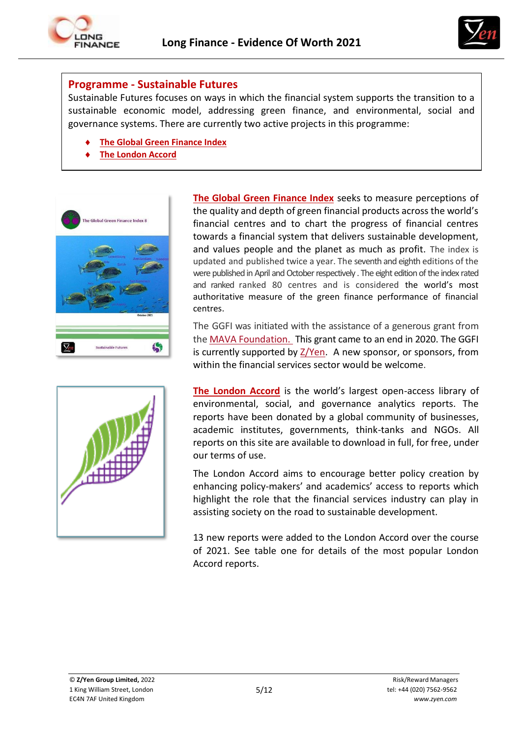



#### **Programme - Sustainable Futures**

Sustainable Futures focuses on ways in which the financial system supports the transition to a sustainable economic model, addressing green finance, and environmental, social and governance systems. There are currently two active projects in this programme:

- **[The Global Green Finance](https://www.longfinance.net/programmes/financial-centre-futures/global-green-finance-index/) Index**
- **[The London](https://www.longfinance.net/programmes/sustainable-futures/london-accord/) Accord**



**The Global Green [Finance](http://www.greenfinanceindex.net/) Index** seeks to measure perceptions of the quality and depth of green financial products across the world's financial centres and to chart the progress of financial centres towards a financial system that delivers sustainable development, and values people and the planet as much as profit. The index is updated and published twice a year. The seventh and eighth editions of the were published in April and October respectively . The eight edition of the index rated and ranked ranked 80 centres and is considered the world's most authoritative measure of the green finance performance of financial centres.

The GGFI was initiated with the assistance of a generous grant from the MAVA [Foundation. T](http://mava-foundation.org/)his grant came to an end in 2020. The GGFI is currently supported by [Z/Yen.](https://www.zyen.com/) A new sponsor, or sponsors, from within the financial services sector would be welcome.

**[The London Accord](https://www.longfinance.net/programmes/sustainable-futures/london-accord/)** is the world's largest open-access library of environmental, social, and governance analytics reports. The reports have been donated by a global community of businesses, academic institutes, governments, think-tanks and NGOs. All reports on this site are available to download in full, for free, under our terms of use.

The London Accord aims to encourage better policy creation by enhancing policy-makers' and academics' access to reports which highlight the role that the financial services industry can play in assisting society on the road to sustainable development.

13 new reports were added to the London Accord over the course of 2021. See table one for details of the most popular London Accord reports.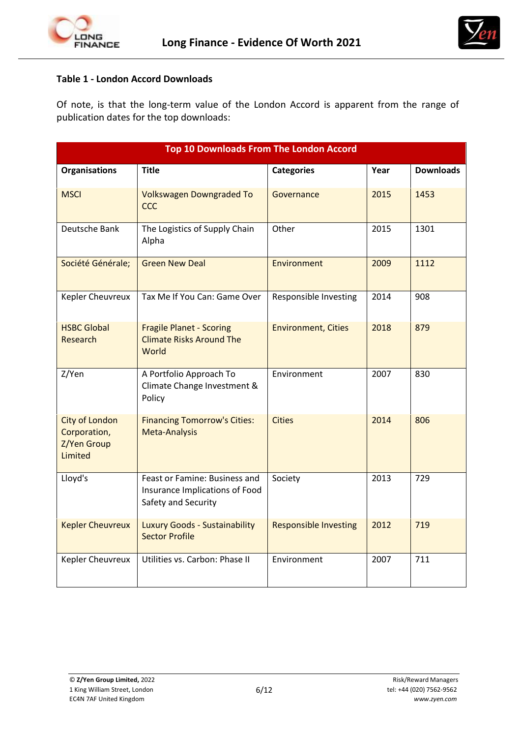



#### **Table 1 - London Accord Downloads**

Of note, is that the long-term value of the London Accord is apparent from the range of publication dates for the top downloads:

| <b>Top 10 Downloads From The London Accord</b>                  |                                                                                        |                              |      |                  |
|-----------------------------------------------------------------|----------------------------------------------------------------------------------------|------------------------------|------|------------------|
| <b>Organisations</b>                                            | <b>Title</b>                                                                           | <b>Categories</b>            | Year | <b>Downloads</b> |
| <b>MSCI</b>                                                     | <b>Volkswagen Downgraded To</b><br><b>CCC</b>                                          | Governance                   | 2015 | 1453             |
| Deutsche Bank                                                   | The Logistics of Supply Chain<br>Alpha                                                 | Other                        | 2015 | 1301             |
| Société Générale;                                               | <b>Green New Deal</b>                                                                  | Environment                  | 2009 | 1112             |
| Kepler Cheuvreux                                                | Tax Me If You Can: Game Over                                                           | Responsible Investing        | 2014 | 908              |
| <b>HSBC Global</b><br>Research                                  | <b>Fragile Planet - Scoring</b><br><b>Climate Risks Around The</b><br>World            | <b>Environment, Cities</b>   | 2018 | 879              |
| Z/Yen                                                           | A Portfolio Approach To<br>Climate Change Investment &<br>Policy                       | Environment                  | 2007 | 830              |
| <b>City of London</b><br>Corporation,<br>Z/Yen Group<br>Limited | <b>Financing Tomorrow's Cities:</b><br>Meta-Analysis                                   | <b>Cities</b>                | 2014 | 806              |
| Lloyd's                                                         | Feast or Famine: Business and<br>Insurance Implications of Food<br>Safety and Security | Society                      | 2013 | 729              |
| <b>Kepler Cheuvreux</b>                                         | Luxury Goods - Sustainability<br><b>Sector Profile</b>                                 | <b>Responsible Investing</b> | 2012 | 719              |
| Kepler Cheuvreux                                                | Utilities vs. Carbon: Phase II                                                         | Environment                  | 2007 | 711              |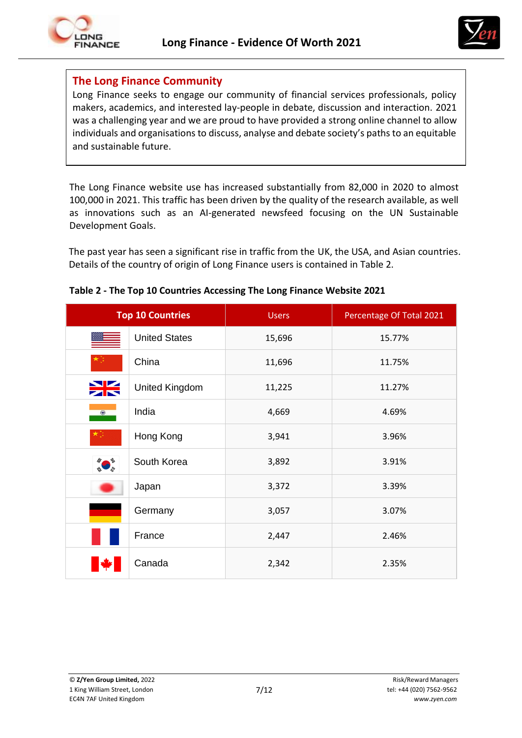



### **The Long Finance Community**

Long Finance seeks to engage our community of financial services professionals, policy makers, academics, and interested lay-people in debate, discussion and interaction. 2021 was a challenging year and we are proud to have provided a strong online channel to allow individuals and organisations to discuss, analyse and debate society's paths to an equitable and sustainable future.

The Long Finance website use has increased substantially from 82,000 in 2020 to almost 100,000 in 2021. This traffic has been driven by the quality of the research available, as well as innovations such as an AI-generated newsfeed focusing on the UN Sustainable Development Goals.

The past year has seen a significant rise in traffic from the UK, the USA, and Asian countries. Details of the country of origin of Long Finance users is contained in Table 2.

| <b>Top 10 Countries</b>             | <b>Users</b> | Percentage Of Total 2021 |
|-------------------------------------|--------------|--------------------------|
| <b>United States</b>                | 15,696       | 15.77%                   |
| China                               | 11,696       | 11.75%                   |
| <b>ext</b><br><b>United Kingdom</b> | 11,225       | 11.27%                   |
| India<br>$\circledast$              | 4,669        | 4.69%                    |
| Hong Kong                           | 3,941        | 3.96%                    |
| South Korea                         | 3,892        | 3.91%                    |
| Japan                               | 3,372        | 3.39%                    |
| Germany                             | 3,057        | 3.07%                    |
| France                              | 2,447        | 2.46%                    |
| Canada                              | 2,342        | 2.35%                    |

#### **Table 2 - The Top 10 Countries Accessing The Long Finance Website 2021**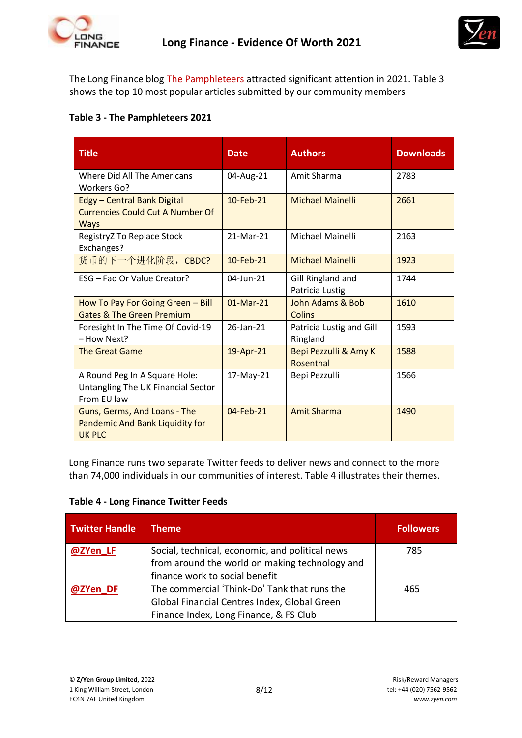



The Long Finance blog [The Pamphleteers a](http://www.longfinance.net/news/long-finance-blogs/the-pamphleteers.html?start=20)ttracted significant attention in 2021. Table 3 shows the top 10 most popular articles submitted by our community members

### **Table 3 - The Pamphleteers 2021**

| <b>Title</b>                                                                                 | <b>Date</b> | <b>Authors</b>                       | <b>Downloads</b> |
|----------------------------------------------------------------------------------------------|-------------|--------------------------------------|------------------|
| Where Did All The Americans<br><b>Workers Go?</b>                                            | 04-Aug-21   | Amit Sharma                          | 2783             |
| <b>Edgy - Central Bank Digital</b><br><b>Currencies Could Cut A Number Of</b><br><b>Ways</b> | 10-Feb-21   | <b>Michael Mainelli</b>              | 2661             |
| RegistryZ To Replace Stock<br>Exchanges?                                                     | 21-Mar-21   | Michael Mainelli                     | 2163             |
| 货币的下一个进化阶段, CBDC?                                                                            | 10-Feb-21   | <b>Michael Mainelli</b>              | 1923             |
| ESG - Fad Or Value Creator?                                                                  | 04-Jun-21   | Gill Ringland and<br>Patricia Lustig | 1744             |
| How To Pay For Going Green - Bill<br><b>Gates &amp; The Green Premium</b>                    | $01-Mar-21$ | John Adams & Bob<br>Colins           | 1610             |
| Foresight In The Time Of Covid-19<br>- How Next?                                             | 26-Jan-21   | Patricia Lustig and Gill<br>Ringland | 1593             |
| <b>The Great Game</b>                                                                        | 19-Apr-21   | Bepi Pezzulli & Amy K<br>Rosenthal   | 1588             |
| A Round Peg In A Square Hole:<br>Untangling The UK Financial Sector<br>From EU law           | 17-May-21   | Bepi Pezzulli                        | 1566             |
| Guns, Germs, And Loans - The<br>Pandemic And Bank Liquidity for<br><b>UK PLC</b>             | 04-Feb-21   | <b>Amit Sharma</b>                   | 1490             |

Long Finance runs two separate Twitter feeds to deliver news and connect to the more than 74,000 individuals in our communities of interest. Table 4 illustrates their themes.

#### **Table 4 - Long Finance Twitter Feeds**

| <b>Twitter Handle</b> | Theme                                                                                                                                  | <b>Followers</b> |
|-----------------------|----------------------------------------------------------------------------------------------------------------------------------------|------------------|
| @ZYen LF              | Social, technical, economic, and political news<br>from around the world on making technology and<br>finance work to social benefit    | 785              |
| @ZYen DF              | The commercial 'Think-Do' Tank that runs the<br>Global Financial Centres Index, Global Green<br>Finance Index, Long Finance, & FS Club | 465              |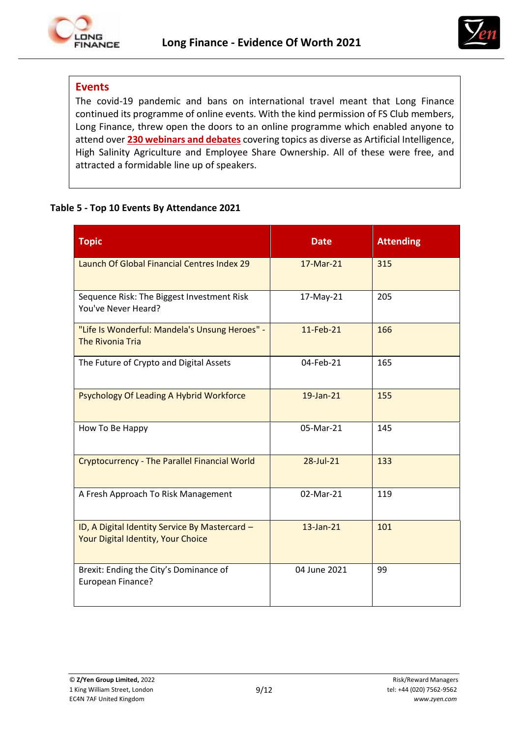



# **Events**

The covid-19 pandemic and bans on international travel meant that Long Finance continued its programme of online events. With the kind permission of FS Club members, Long Finance, threw open the doors to an online programme which enabled anyone to attend over **230 [webinars and debates](https://fsclub.zyen.com/events/)** covering topics as diverse as Artificial Intelligence, High Salinity Agriculture and Employee Share Ownership. All of these were free, and attracted a formidable line up of speakers.

#### **Table 5 - Top 10 Events By Attendance 2021**

| <b>Topic</b>                                                                         | <b>Date</b>  | <b>Attending</b> |
|--------------------------------------------------------------------------------------|--------------|------------------|
| Launch Of Global Financial Centres Index 29                                          | 17-Mar-21    | 315              |
| Sequence Risk: The Biggest Investment Risk<br>You've Never Heard?                    | 17-May-21    | 205              |
| "Life Is Wonderful: Mandela's Unsung Heroes" -<br><b>The Rivonia Tria</b>            | 11-Feb-21    | 166              |
| The Future of Crypto and Digital Assets                                              | 04-Feb-21    | 165              |
| Psychology Of Leading A Hybrid Workforce                                             | 19-Jan-21    | 155              |
| How To Be Happy                                                                      | 05-Mar-21    | 145              |
| <b>Cryptocurrency - The Parallel Financial World</b>                                 | 28-Jul-21    | 133              |
| A Fresh Approach To Risk Management                                                  | 02-Mar-21    | 119              |
| ID, A Digital Identity Service By Mastercard -<br>Your Digital Identity, Your Choice | $13$ -Jan-21 | 101              |
| Brexit: Ending the City's Dominance of<br>European Finance?                          | 04 June 2021 | 99               |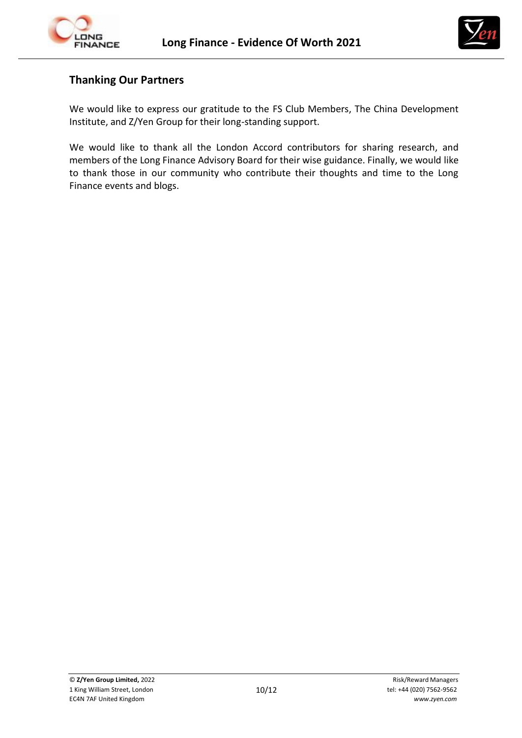



# **Thanking Our Partners**

We would like to express our gratitude to the FS Club Members, The China Development Institute, and Z/Yen Group for their long-standing support.

We would like to thank all the London Accord contributors for sharing research, and members of the Long Finance Advisory Board for their wise guidance. Finally, we would like to thank those in our community who contribute their thoughts and time to the Long Finance events and blogs.